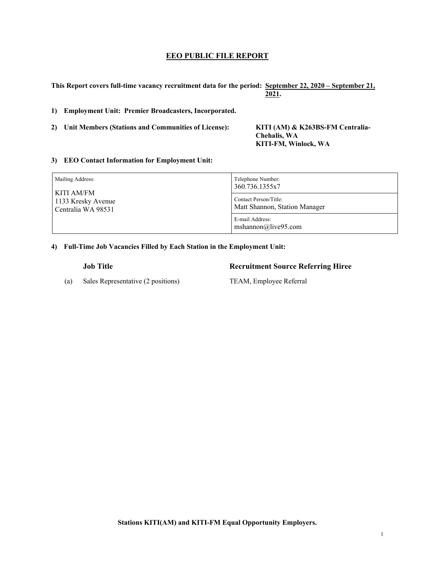## **EEO PUBLIC FILE REPORT**

**This Report covers full-time vacancy recruitment data for the period: September 22, 2020 – September 21, 2021.** 

**1) Employment Unit: Premier Broadcasters, Incorporated.**

**2) Unit Members (Stations and Communities of License): KITI (AM) & K263BS-FM Centralia-** 

 **Chehalis, WA KITI-FM, Winlock, WA** 

## **3) EEO Contact Information for Employment Unit:**

| Mailing Address:   | Telephone Number:                      |  |
|--------------------|----------------------------------------|--|
| KITI AM/FM         | 360.736.1355x7                         |  |
| 1133 Kresky Avenue | Contact Person/Title:                  |  |
| Centralia WA 98531 | Matt Shannon, Station Manager          |  |
|                    | E-mail Address:<br>mshannon@live95.com |  |

**4) Full-Time Job Vacancies Filled by Each Station in the Employment Unit:**

(a) Sales Representative (2 positions) TEAM, Employee Referral

**Job Title Recruitment Source Referring Hiree**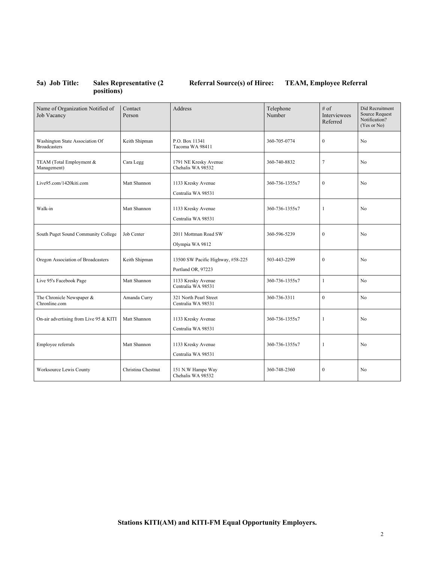## **5a) Job Title: Sales Representative (2 positions)**

# **Referral Source(s) of Hiree: TEAM, Employee Referral**

| Name of Organization Notified of<br>Job Vacancy        | Contact<br>Person  | Address                                                 | Telephone<br>Number | $#$ of<br>Interviewees<br>Referred | Did Recruitment<br><b>Source Request</b><br>Notification?<br>(Yes or No) |
|--------------------------------------------------------|--------------------|---------------------------------------------------------|---------------------|------------------------------------|--------------------------------------------------------------------------|
| Washington State Association Of<br><b>Broadcasters</b> | Keith Shipman      | P.O. Box 11341<br>Tacoma WA 98411                       | 360-705-0774        | $\boldsymbol{0}$                   | No                                                                       |
| TEAM (Total Employment &<br>Management)                | Cara Legg          | 1791 NE Kresky Avenue<br>Chehalis WA 98532              | 360-740-8832        | $\tau$                             | N <sub>o</sub>                                                           |
| Live95.com/1420kiti.com                                | Matt Shannon       | 1133 Kresky Avenue<br>Centralia WA 98531                | 360-736-1355x7      | $\boldsymbol{0}$                   | No                                                                       |
| Walk-in                                                | Matt Shannon       | 1133 Kresky Avenue<br>Centralia WA 98531                | 360-736-1355x7      | $\mathbf{1}$                       | N <sub>o</sub>                                                           |
| South Puget Sound Community College                    | Job Center         | 2011 Mottman Road SW<br>Olympia WA 9812                 | 360-596-5239        | $\mathbf{0}$                       | No                                                                       |
| Oregon Association of Broadcasters                     | Keith Shipman      | 13500 SW Pacific Highway, #58-225<br>Portland OR, 97223 | 503-443-2299        | $\overline{0}$                     | No                                                                       |
| Live 95's Facebook Page                                | Matt Shannon       | 1133 Kresky Avenue<br>Centralia WA 98531                | 360-736-1355x7      | $\mathbf{1}$                       | N <sub>o</sub>                                                           |
| The Chronicle Newspaper &<br>Chronline.com             | Amanda Curry       | 321 North Pearl Street<br>Centralia WA 98531            | 360-736-3311        | $\overline{0}$                     | N <sub>o</sub>                                                           |
| On-air advertising from Live 95 & KITI                 | Matt Shannon       | 1133 Kresky Avenue<br>Centralia WA 98531                | 360-736-1355x7      | $\mathbf{1}$                       | No                                                                       |
| Employee referrals                                     | Matt Shannon       | 1133 Kresky Avenue<br>Centralia WA 98531                | 360-736-1355x7      | 1                                  | No                                                                       |
| Worksource Lewis County                                | Christina Chestnut | 151 N.W Hampe Way<br>Chehalis WA 98532                  | 360-748-2360        | $\mathbf{0}$                       | N <sub>o</sub>                                                           |